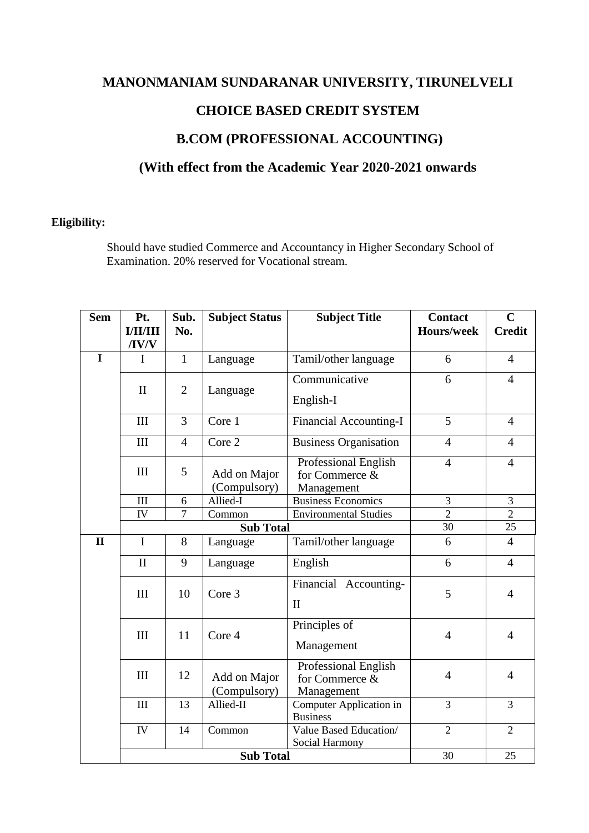# **MANONMANIAM SUNDARANAR UNIVERSITY, TIRUNELVELI**

# **CHOICE BASED CREDIT SYSTEM**

# **B.COM (PROFESSIONAL ACCOUNTING)**

# **(With effect from the Academic Year 2020-2021 onwards**

### **Eligibility:**

Should have studied Commerce and Accountancy in Higher Secondary School of Examination. 20% reserved for Vocational stream.

| <b>Sem</b>   | Pt.<br><b>I/II/III</b> | Sub.<br>No.    | <b>Subject Status</b>        | <b>Subject Title</b>                                        | <b>Contact</b><br><b>Hours/week</b> | $\mathbf C$<br><b>Credit</b> |
|--------------|------------------------|----------------|------------------------------|-------------------------------------------------------------|-------------------------------------|------------------------------|
|              | $\sqrt{IV/V}$          |                |                              |                                                             |                                     |                              |
| $\mathbf I$  | $\mathbf I$            | $\mathbf{1}$   | Language                     | Tamil/other language                                        | 6                                   | $\overline{4}$               |
|              | $\mathbf{I}$           | $\overline{2}$ | Language                     | Communicative                                               | 6                                   | $\overline{4}$               |
|              |                        |                |                              | English-I                                                   |                                     |                              |
|              | III                    | 3              | Core 1                       | <b>Financial Accounting-I</b>                               | 5                                   | $\overline{4}$               |
|              | III                    | $\overline{4}$ | Core 2                       | <b>Business Organisation</b>                                | $\overline{4}$                      | $\overline{4}$               |
|              | III                    | 5              | Add on Major<br>(Compulsory) | Professional English<br>for Commerce &<br>Management        | $\overline{4}$                      | $\overline{4}$               |
|              | III                    | 6              | Allied-I                     | <b>Business Economics</b>                                   | 3                                   | 3                            |
|              | IV                     | $\overline{7}$ | Common                       | <b>Environmental Studies</b>                                | $\overline{2}$                      | $\overline{2}$               |
|              | <b>Sub Total</b>       |                |                              |                                                             | 30                                  | 25                           |
| $\mathbf{I}$ | $\mathbf I$            | 8              | Language                     | Tamil/other language                                        | 6                                   | $\overline{4}$               |
|              | $\mathbf{I}$           | 9              | Language                     | English                                                     | 6                                   | $\overline{4}$               |
|              | III                    | 10             | Core 3                       | Financial Accounting-<br>$\mathbf{I}$                       | 5                                   | $\overline{4}$               |
|              | III                    | 11             | Core 4                       | Principles of<br>Management                                 | $\overline{4}$                      | $\overline{4}$               |
|              | III                    | 12             | Add on Major<br>(Compulsory) | <b>Professional English</b><br>for Commerce &<br>Management | $\overline{4}$                      | $\overline{4}$               |
|              | III                    | 13             | Allied-II                    | Computer Application in<br><b>Business</b>                  | $\overline{3}$                      | $\overline{3}$               |
|              | ${\rm IV}$             | 14             | Common                       | Value Based Education/<br>Social Harmony                    | $\overline{2}$                      | $\overline{2}$               |
|              | <b>Sub Total</b>       |                |                              |                                                             | 30                                  | 25                           |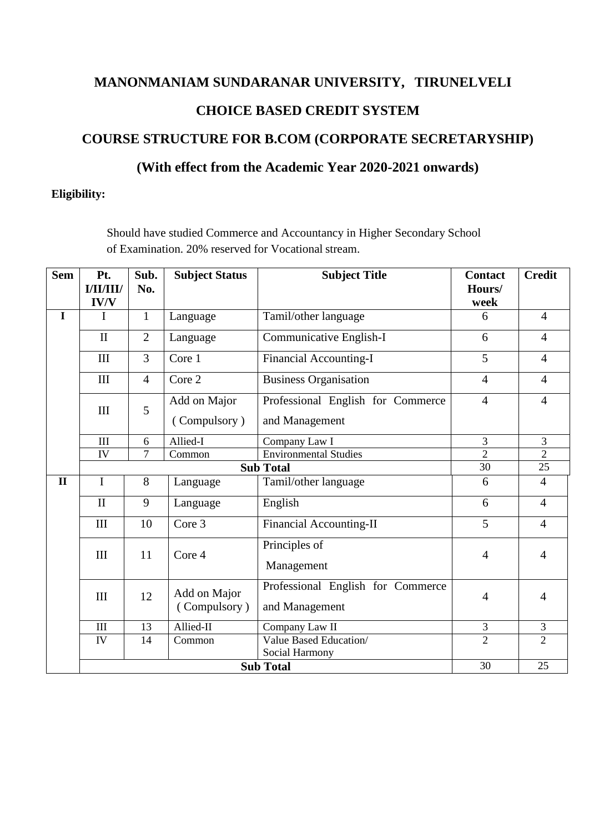# **MANONMANIAM SUNDARANAR UNIVERSITY, TIRUNELVELI CHOICE BASED CREDIT SYSTEM**

# **COURSE STRUCTURE FOR B.COM (CORPORATE SECRETARYSHIP)**

# **(With effect from the Academic Year 2020-2021 onwards)**

### **Eligibility:**

Should have studied Commerce and Accountancy in Higher Secondary School of Examination. 20% reserved for Vocational stream.

| <b>Sem</b>   | Pt.          | Sub.           | <b>Subject Status</b>        | <b>Subject Title</b>                     | <b>Contact</b> | <b>Credit</b>  |
|--------------|--------------|----------------|------------------------------|------------------------------------------|----------------|----------------|
|              | I/II/III/    | No.            |                              |                                          | Hours/         |                |
|              | <b>IV/V</b>  |                |                              |                                          | week           |                |
| $\mathbf I$  | I            | $\mathbf{1}$   | Language                     | Tamil/other language                     | 6              | $\overline{4}$ |
|              | $\mathbf{I}$ | $\overline{2}$ | Language                     | Communicative English-I                  | 6              | $\overline{4}$ |
|              | III          | 3              | Core 1                       | <b>Financial Accounting-I</b>            | 5              | $\overline{4}$ |
|              | III          | $\overline{4}$ | Core 2                       | <b>Business Organisation</b>             | $\overline{4}$ | $\overline{4}$ |
|              |              | 5              | Add on Major                 | Professional English for Commerce        | $\overline{4}$ | $\overline{4}$ |
|              | III          |                | (Compulsory)                 | and Management                           |                |                |
|              | $\rm III$    | 6              | Allied-I                     | Company Law I                            | 3              | $\overline{3}$ |
|              | IV           | $\overline{7}$ | Common                       | <b>Environmental Studies</b>             | $\overline{2}$ | $\overline{2}$ |
|              |              |                | 30                           | $\overline{25}$                          |                |                |
| $\mathbf{I}$ | I            | 8              | Language                     | Tamil/other language                     | 6              | $\overline{4}$ |
|              | $\mathbf{I}$ | 9              | Language                     | English                                  | 6              | $\overline{4}$ |
|              | III          | 10             | Core 3                       | <b>Financial Accounting-II</b>           | 5              | $\overline{4}$ |
|              | III          | 11             | Core 4                       | Principles of                            | $\overline{4}$ | $\overline{4}$ |
|              |              |                |                              | Management                               |                |                |
|              | III          | 12             | Add on Major<br>(Compulsory) | Professional English for Commerce        | $\overline{4}$ | 4              |
|              |              |                |                              | and Management                           |                |                |
|              | $\rm III$    | 13             | Allied-II                    | Company Law II                           | $\mathfrak{Z}$ | 3              |
|              | IV           | 14             | Common                       | Value Based Education/<br>Social Harmony | $\overline{2}$ | $\overline{2}$ |
|              |              |                | 30                           | 25                                       |                |                |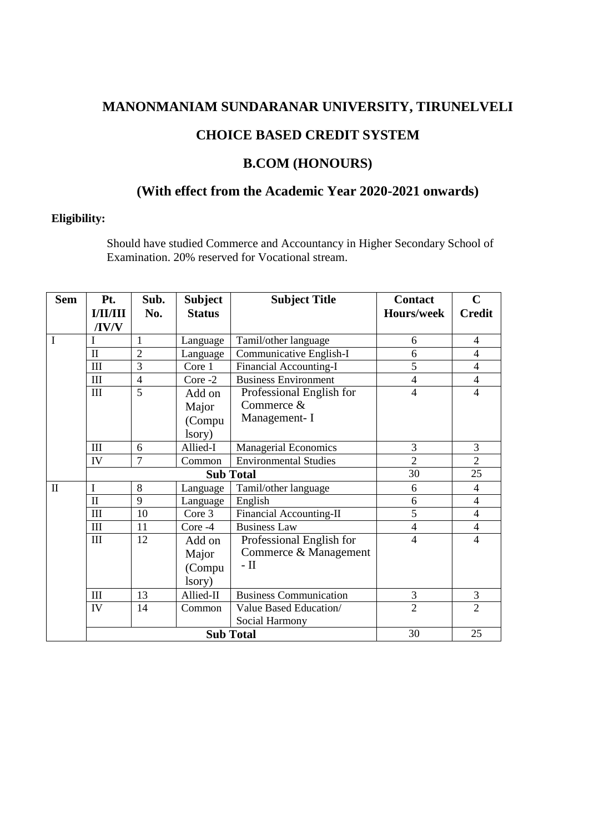# **MANONMANIAM SUNDARANAR UNIVERSITY, TIRUNELVELI**

### **CHOICE BASED CREDIT SYSTEM**

### **B.COM (HONOURS)**

# **(With effect from the Academic Year 2020-2021 onwards)**

### **Eligibility:**

Should have studied Commerce and Accountancy in Higher Secondary School of Examination. 20% reserved for Vocational stream.

| <b>Sem</b>   | Pt.                | Sub.           | <b>Subject</b> | <b>Subject Title</b>           | <b>Contact</b>    | $\mathbf C$              |
|--------------|--------------------|----------------|----------------|--------------------------------|-------------------|--------------------------|
|              | <b>I/II/III</b>    | No.            | <b>Status</b>  |                                | <b>Hours/week</b> | <b>Credit</b>            |
|              | /IV/V              |                |                |                                |                   |                          |
| I            | $\mathbf I$        | 1              | Language       | Tamil/other language           | 6                 | $\overline{4}$           |
|              | $\mathbf{I}$       | $\overline{2}$ | Language       | Communicative English-I        | 6                 | $\overline{4}$           |
|              | III                | 3              | Core 1         | Financial Accounting-I         | 5                 | $\overline{4}$           |
|              | $\mathop{\rm III}$ | $\overline{4}$ | Core -2        | <b>Business Environment</b>    | 4                 | $\overline{4}$           |
|              | III                | 5              | Add on         | Professional English for       | $\overline{4}$    | $\overline{4}$           |
|              |                    |                | Major          | Commerce &                     |                   |                          |
|              |                    |                | (Compu         | Management-I                   |                   |                          |
|              |                    |                | lsory)         |                                |                   |                          |
|              | III                | 6              | Allied-I       | <b>Managerial Economics</b>    | 3                 | 3                        |
|              | IV                 | $\overline{7}$ | Common         | <b>Environmental Studies</b>   | $\overline{2}$    | $\overline{2}$           |
|              |                    |                |                | <b>Sub Total</b>               | 30                | 25                       |
| $\mathbf{I}$ | $\mathbf I$        | 8              | Language       | Tamil/other language           | 6                 | $\overline{4}$           |
|              | $\mathbf{I}$       | 9              | Language       | English                        | 6                 | $\overline{4}$           |
|              | Ш                  | 10             | Core 3         | <b>Financial Accounting-II</b> | 5                 | $\overline{4}$           |
|              | Ш                  | 11             | Core -4        | <b>Business Law</b>            | 4                 | $\overline{4}$           |
|              | III                | 12             | Add on         | Professional English for       | 4                 | $\overline{\mathcal{A}}$ |
|              |                    |                | Major          | Commerce & Management          |                   |                          |
|              |                    |                | (Compu         | $-$ II                         |                   |                          |
|              |                    |                | lsory)         |                                |                   |                          |
|              | Ш                  | 13             | Allied-II      | <b>Business Communication</b>  | 3                 | $\mathfrak{Z}$           |
|              | IV                 | 14             | Common         | Value Based Education/         | $\overline{2}$    | $\overline{2}$           |
|              |                    |                |                | Social Harmony                 |                   |                          |
|              |                    |                | 30             | 25                             |                   |                          |